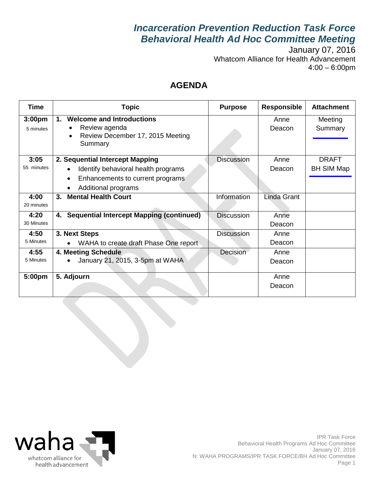# *Incarceration Prevention Reduction Task Force Behavioral Health Ad Hoc Committee Meeting*

January 07, 2016 Whatcom Alliance for Health Advancement 4:00 – 6:00pm

## **AGENDA**

| <b>Time</b>                     | <b>Topic</b>                                                                                           | <b>Purpose</b>    | <b>Responsible</b> | <b>Attachment</b>  |
|---------------------------------|--------------------------------------------------------------------------------------------------------|-------------------|--------------------|--------------------|
| 3:00 <sub>pm</sub><br>5 minutes | <b>Welcome and Introductions</b><br>1.<br>Review agenda<br>Review December 17, 2015 Meeting<br>Summary |                   | Anne<br>Deacon     | Meeting<br>Summary |
| 3:05                            | 2. Sequential Intercept Mapping                                                                        | <b>Discussion</b> | Anne               | <b>DRAFT</b>       |
| 55 minutes                      | Identify behavioral health programs<br>$\bullet$                                                       |                   | Deacon             | <b>BH SIM Map</b>  |
|                                 | Enhancements to current programs<br>$\bullet$                                                          |                   |                    |                    |
|                                 | Additional programs                                                                                    |                   |                    |                    |
| 4:00<br>20 minutes              | <b>Mental Health Court</b><br>3.                                                                       | Information       | Linda Grant        |                    |
| 4:20                            | <b>Sequential Intercept Mapping (continued)</b><br>4.                                                  | <b>Discussion</b> | Anne               |                    |
| 30 Minutes                      |                                                                                                        |                   | Deacon             |                    |
| 4:50<br>5 Minutes               | 3. Next Steps                                                                                          | <b>Discussion</b> | Anne               |                    |
|                                 | WAHA to create draft Phase One report                                                                  |                   | Deacon             |                    |
| 4:55                            | 4. Meeting Schedule                                                                                    | Decision          | Anne               |                    |
| 5 Minutes                       | January 21, 2015, 3-5pm at WAHA<br>$\bullet$                                                           |                   | Deacon             |                    |
| 5:00pm                          | 5. Adjourn                                                                                             |                   | Anne               |                    |
|                                 |                                                                                                        |                   | Deacon             |                    |

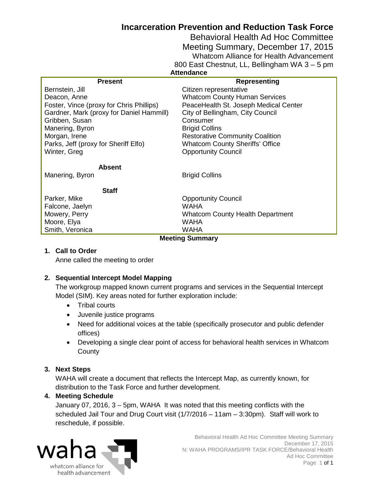## **Incarceration Prevention and Reduction Task Force**

Behavioral Health Ad Hoc Committee Meeting Summary, December 17, 2015 Whatcom Alliance for Health Advancement 800 East Chestnut, LL, Bellingham WA 3 – 5 pm **Attendance**

<span id="page-1-0"></span>

| <b>Present</b>                           | <b>Representing</b>                     |  |  |  |
|------------------------------------------|-----------------------------------------|--|--|--|
| Bernstein, Jill                          | Citizen representative                  |  |  |  |
| Deacon, Anne                             | <b>Whatcom County Human Services</b>    |  |  |  |
| Foster, Vince (proxy for Chris Phillips) | PeaceHealth St. Joseph Medical Center   |  |  |  |
| Gardner, Mark (proxy for Daniel Hammill) | City of Bellingham, City Council        |  |  |  |
| Gribben, Susan                           | Consumer                                |  |  |  |
| Manering, Byron                          | <b>Brigid Collins</b>                   |  |  |  |
| Morgan, Irene                            | <b>Restorative Community Coalition</b>  |  |  |  |
| Parks, Jeff (proxy for Sheriff Elfo)     | <b>Whatcom County Sheriffs' Office</b>  |  |  |  |
| Winter, Greg                             | <b>Opportunity Council</b>              |  |  |  |
| <b>Absent</b>                            |                                         |  |  |  |
| Manering, Byron                          | <b>Brigid Collins</b>                   |  |  |  |
| <b>Staff</b>                             |                                         |  |  |  |
| Parker, Mike                             | <b>Opportunity Council</b>              |  |  |  |
| Falcone, Jaelyn                          | <b>WAHA</b>                             |  |  |  |
| Mowery, Perry                            | <b>Whatcom County Health Department</b> |  |  |  |
| Moore, Elya                              | <b>WAHA</b>                             |  |  |  |
| Smith, Veronica                          | WAHA                                    |  |  |  |
| <b>Meeting Summary</b>                   |                                         |  |  |  |

#### **1. Call to Order**

Anne called the meeting to order

#### **2. Sequential Intercept Model Mapping**

The workgroup mapped known current programs and services in the Sequential Intercept Model (SIM). Key areas noted for further exploration include:

- Tribal courts
- Juvenile justice programs
- Need for additional voices at the table (specifically prosecutor and public defender offices)
- Developing a single clear point of access for behavioral health services in Whatcom **County**

#### **3. Next Steps**

WAHA will create a document that reflects the Intercept Map, as currently known, for distribution to the Task Force and further development.

### **4. Meeting Schedule**

January 07, 2016, 3 – 5pm, WAHA It was noted that this meeting conflicts with the scheduled Jail Tour and Drug Court visit (1/7/2016 – 11am – 3:30pm). Staff will work to reschedule, if possible.